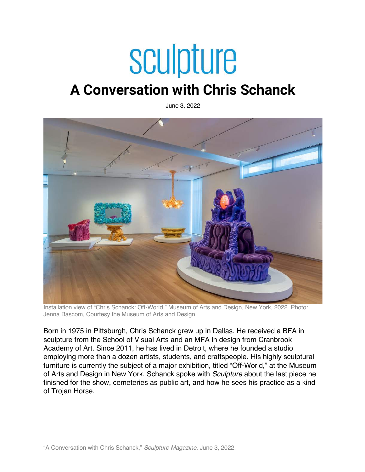# sculpture

# **A Conversation with Chris Schanck**

June 3, 2022



Installation view of "Chris Schanck: Off-World," Museum of Arts and Design, New York, 2022. Photo: Jenna Bascom, Courtesy the Museum of Arts and Design

Born in 1975 in Pittsburgh, Chris Schanck grew up in Dallas. He received a BFA in sculpture from the School of Visual Arts and an MFA in design from Cranbrook Academy of Art. Since 2011, he has lived in Detroit, where he founded a studio employing more than a dozen artists, students, and craftspeople. His highly sculptural furniture is currently the subject of a major exhibition, titled "Off-World," at the Museum of Arts and Design in New York. Schanck spoke with *Sculpture* about the last piece he finished for the show, cemeteries as public art, and how he sees his practice as a kind of Trojan Horse.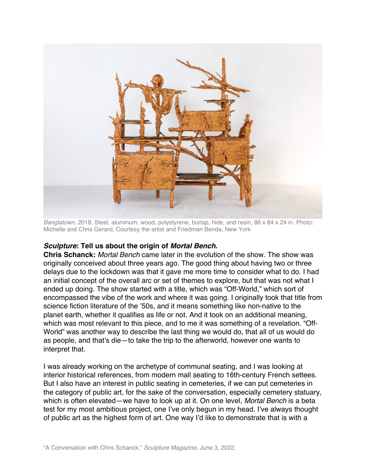

*Banglatown*, 2018. Steel, aluminum, wood, polystyrene, burlap, hide, and resin, 86 x 84 x 24 in. Photo: Michelle and Chris Gerard, Courtesy the artist and Friedman Benda, New York

### *Sculpture***: Tell us about the origin of** *Mortal Bench***.**

**Chris Schanck:** *Mortal Bench* came later in the evolution of the show. The show was originally conceived about three years ago. The good thing about having two or three delays due to the lockdown was that it gave me more time to consider what to do. I had an initial concept of the overall arc or set of themes to explore, but that was not what I ended up doing. The show started with a title, which was "Off-World," which sort of encompassed the vibe of the work and where it was going. I originally took that title from science fiction literature of the '50s, and it means something like non-native to the planet earth, whether it qualifies as life or not. And it took on an additional meaning, which was most relevant to this piece, and to me it was something of a revelation. "Off-World" was another way to describe the last thing we would do, that all of us would do as people, and that's die—to take the trip to the afterworld, however one wants to interpret that.

I was already working on the archetype of communal seating, and I was looking at interior historical references, from modern mall seating to 16th-century French settees. But I also have an interest in public seating in cemeteries, if we can put cemeteries in the category of public art, for the sake of the conversation, especially cemetery statuary, which is often elevated—we have to look up at it. On one level, *Mortal Bench* is a beta test for my most ambitious project, one I've only begun in my head. I've always thought of public art as the highest form of art. One way I'd like to demonstrate that is with a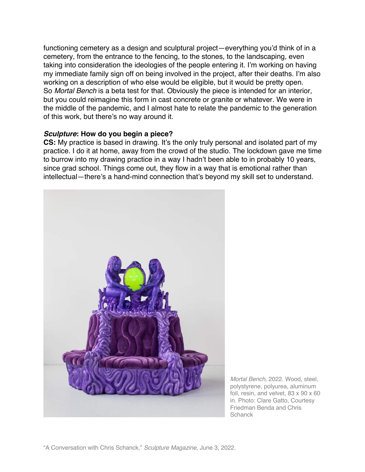functioning cemetery as a design and sculptural project—everything you'd think of in a cemetery, from the entrance to the fencing, to the stones, to the landscaping, even taking into consideration the ideologies of the people entering it. I'm working on having my immediate family sign off on being involved in the project, after their deaths. I'm also working on a description of who else would be eligible, but it would be pretty open. So *Mortal Bench* is a beta test for that. Obviously the piece is intended for an interior, but you could reimagine this form in cast concrete or granite or whatever. We were in the middle of the pandemic, and I almost hate to relate the pandemic to the generation of this work, but there's no way around it.

#### *Sculpture***: How do you begin a piece?**

**CS:** My practice is based in drawing. It's the only truly personal and isolated part of my practice. I do it at home, away from the crowd of the studio. The lockdown gave me time to burrow into my drawing practice in a way I hadn't been able to in probably 10 years, since grad school. Things come out, they flow in a way that is emotional rather than intellectual—there's a hand-mind connection that's beyond my skill set to understand.



*Mortal Bench*, 2022. Wood, steel, polystyrene, polyurea, aluminum foil, resin, and velvet, 83 x 90 x 60 in. Photo: Clare Gatto, Courtesy Friedman Benda and Chris **Schanck**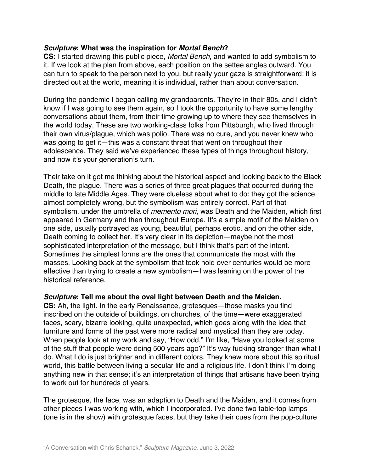### *Sculpture***: What was the inspiration for** *Mortal Bench***?**

**CS:** I started drawing this public piece, *Mortal Bench*, and wanted to add symbolism to it. If we look at the plan from above, each position on the settee angles outward. You can turn to speak to the person next to you, but really your gaze is straightforward; it is directed out at the world, meaning it is individual, rather than about conversation.

During the pandemic I began calling my grandparents. They're in their 80s, and I didn't know if I was going to see them again, so I took the opportunity to have some lengthy conversations about them, from their time growing up to where they see themselves in the world today. These are two working-class folks from Pittsburgh, who lived through their own virus/plague, which was polio. There was no cure, and you never knew who was going to get it—this was a constant threat that went on throughout their adolescence. They said we've experienced these types of things throughout history, and now it's your generation's turn.

Their take on it got me thinking about the historical aspect and looking back to the Black Death, the plague. There was a series of three great plagues that occurred during the middle to late Middle Ages. They were clueless about what to do: they got the science almost completely wrong, but the symbolism was entirely correct. Part of that symbolism, under the umbrella of *memento mori*, was Death and the Maiden, which first appeared in Germany and then throughout Europe. It's a simple motif of the Maiden on one side, usually portrayed as young, beautiful, perhaps erotic, and on the other side, Death coming to collect her. It's very clear in its depiction—maybe not the most sophisticated interpretation of the message, but I think that's part of the intent. Sometimes the simplest forms are the ones that communicate the most with the masses. Looking back at the symbolism that took hold over centuries would be more effective than trying to create a new symbolism—I was leaning on the power of the historical reference.

### *Sculpture***: Tell me about the oval light between Death and the Maiden.**

**CS:** Ah, the light. In the early Renaissance, grotesques—those masks you find inscribed on the outside of buildings, on churches, of the time—were exaggerated faces, scary, bizarre looking, quite unexpected, which goes along with the idea that furniture and forms of the past were more radical and mystical than they are today. When people look at my work and say, "How odd," I'm like, "Have you looked at some of the stuff that people were doing 500 years ago?" It's way fucking stranger than what I do. What I do is just brighter and in different colors. They knew more about this spiritual world, this battle between living a secular life and a religious life. I don't think I'm doing anything new in that sense; it's an interpretation of things that artisans have been trying to work out for hundreds of years.

The grotesque, the face, was an adaption to Death and the Maiden, and it comes from other pieces I was working with, which I incorporated. I've done two table-top lamps (one is in the show) with grotesque faces, but they take their cues from the pop-culture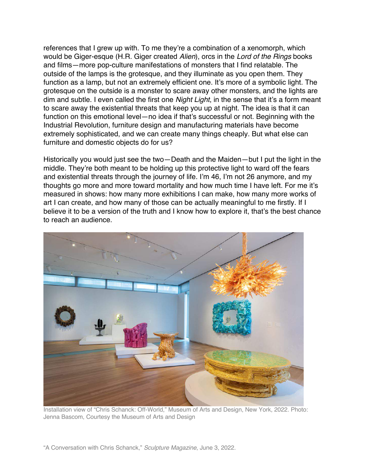references that I grew up with. To me they're a combination of a xenomorph, which would be Giger-esque (H.R. Giger created *Alien*), orcs in the *Lord of the Rings* books and films—more pop-culture manifestations of monsters that I find relatable. The outside of the lamps is the grotesque, and they illuminate as you open them. They function as a lamp, but not an extremely efficient one. It's more of a symbolic light. The grotesque on the outside is a monster to scare away other monsters, and the lights are dim and subtle. I even called the first one *Night Light*, in the sense that it's a form meant to scare away the existential threats that keep you up at night. The idea is that it can function on this emotional level—no idea if that's successful or not. Beginning with the Industrial Revolution, furniture design and manufacturing materials have become extremely sophisticated, and we can create many things cheaply. But what else can furniture and domestic objects do for us?

Historically you would just see the two—Death and the Maiden—but I put the light in the middle. They're both meant to be holding up this protective light to ward off the fears and existential threats through the journey of life. I'm 46, I'm not 26 anymore, and my thoughts go more and more toward mortality and how much time I have left. For me it's measured in shows: how many more exhibitions I can make, how many more works of art I can create, and how many of those can be actually meaningful to me firstly. If I believe it to be a version of the truth and I know how to explore it, that's the best chance to reach an audience.



Installation view of "Chris Schanck: Off-World," Museum of Arts and Design, New York, 2022. Photo: Jenna Bascom, Courtesy the Museum of Arts and Design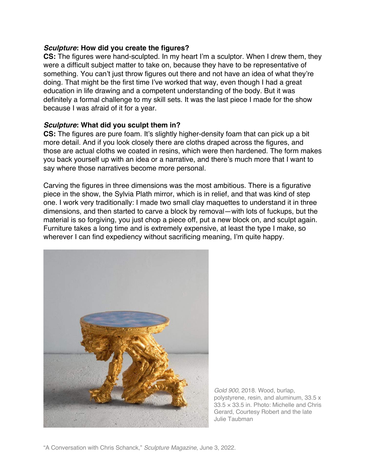### *Sculpture***: How did you create the figures?**

**CS:** The figures were hand-sculpted. In my heart I'm a sculptor. When I drew them, they were a difficult subject matter to take on, because they have to be representative of something. You can't just throw figures out there and not have an idea of what they're doing. That might be the first time I've worked that way, even though I had a great education in life drawing and a competent understanding of the body. But it was definitely a formal challenge to my skill sets. It was the last piece I made for the show because I was afraid of it for a year.

## *Sculpture***: What did you sculpt them in?**

**CS:** The figures are pure foam. It's slightly higher-density foam that can pick up a bit more detail. And if you look closely there are cloths draped across the figures, and those are actual cloths we coated in resins, which were then hardened. The form makes you back yourself up with an idea or a narrative, and there's much more that I want to say where those narratives become more personal.

Carving the figures in three dimensions was the most ambitious. There is a figurative piece in the show, the Sylvia Plath mirror, which is in relief, and that was kind of step one. I work very traditionally: I made two small clay maquettes to understand it in three dimensions, and then started to carve a block by removal—with lots of fuckups, but the material is so forgiving, you just chop a piece off, put a new block on, and sculpt again. Furniture takes a long time and is extremely expensive, at least the type I make, so wherever I can find expediency without sacrificing meaning, I'm quite happy.



*Gold 900*, 2018. Wood, burlap, polystyrene, resin, and aluminum, 33.5 x  $33.5 \times 33.5$  in. Photo: Michelle and Chris Gerard, Courtesy Robert and the late Julie Taubman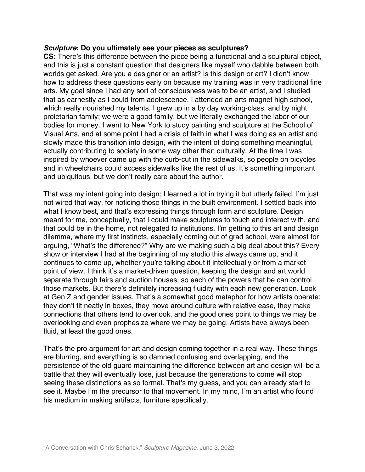#### *Sculpture***: Do you ultimately see your pieces as sculptures?**

**CS:** There's this difference between the piece being a functional and a sculptural object, and this is just a constant question that designers like myself who dabble between both worlds get asked. Are you a designer or an artist? Is this design or art? I didn't know how to address these questions early on because my training was in very traditional fine arts. My goal since I had any sort of consciousness was to be an artist, and I studied that as earnestly as I could from adolescence. I attended an arts magnet high school, which really nourished my talents. I grew up in a by day working-class, and by night proletarian family; we were a good family, but we literally exchanged the labor of our bodies for money. I went to New York to study painting and sculpture at the School of Visual Arts, and at some point I had a crisis of faith in what I was doing as an artist and slowly made this transition into design, with the intent of doing something meaningful, actually contributing to society in some way other than culturally. At the time I was inspired by whoever came up with the curb-cut in the sidewalks, so people on bicycles and in wheelchairs could access sidewalks like the rest of us. It's something important and ubiquitous, but we don't really care about the author.

That was my intent going into design; I learned a lot in trying it but utterly failed. I'm just not wired that way, for noticing those things in the built environment. I settled back into what I know best, and that's expressing things through form and sculpture. Design meant for me, conceptually, that I could make sculptures to touch and interact with, and that could be in the home, not relegated to institutions. I'm getting to this art and design dilemma, where my first instincts, especially coming out of grad school, were almost for arguing, "What's the difference?" Why are we making such a big deal about this? Every show or interview I had at the beginning of my studio this always came up, and it continues to come up, whether you're talking about it intellectually or from a market point of view. I think it's a market-driven question, keeping the design and art world separate through fairs and auction houses, so each of the powers that be can control those markets. But there's definitely increasing fluidity with each new generation. Look at Gen Z and gender issues. That's a somewhat good metaphor for how artists operate: they don't fit neatly in boxes, they move around culture with relative ease, they make connections that others tend to overlook, and the good ones point to things we may be overlooking and even prophesize where we may be going. Artists have always been fluid, at least the good ones.

That's the pro argument for art and design coming together in a real way. These things are blurring, and everything is so damned confusing and overlapping, and the persistence of the old guard maintaining the difference between art and design will be a battle that they will eventually lose, just because the generations to come will stop seeing these distinctions as so formal. That's my guess, and you can already start to see it. Maybe I'm the precursor to that movement. In my mind, I'm an artist who found his medium in making artifacts, furniture specifically.